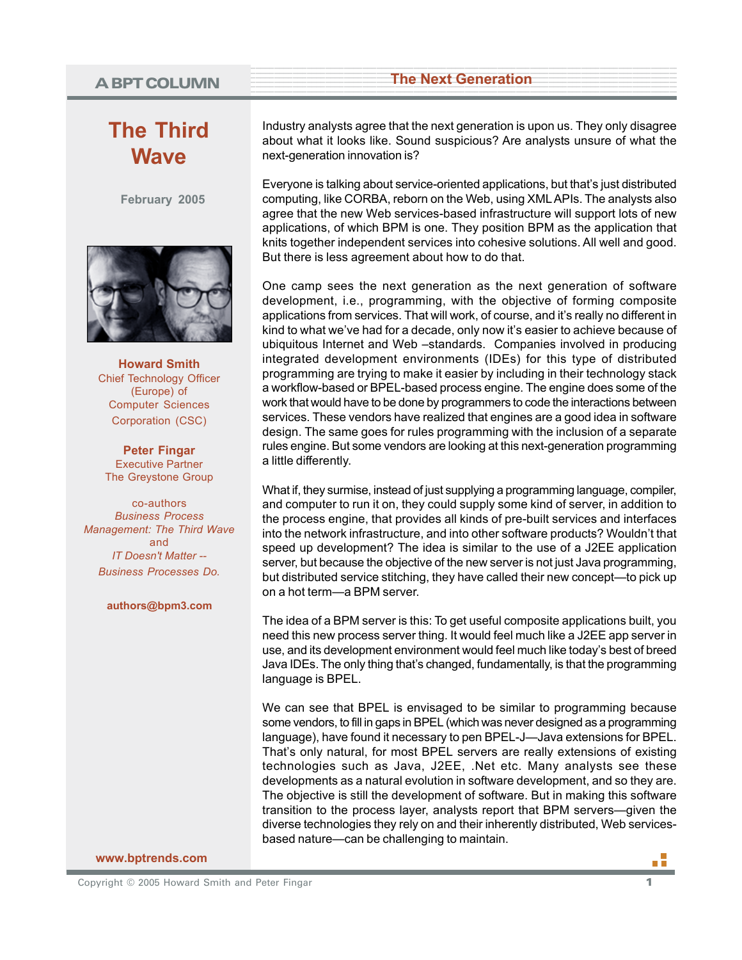# <sup>1</sup> <sup>9</sup> **A BPT COLUMN**

# **The Third Wave**

**February 2005**



**Howard Smith** Chief Technology Officer (Europe) of Computer Sciences Corporation (CSC)

**Peter Fingar** Executive Partner The Greystone Group

co-authors *Business Process Management: The Third Wave* and *IT Doesn't Matter -- Business Processes Do.*

#### **authors@bpm3.com**

Industry analysts agree that the next generation is upon us. They only disagree about what it looks like. Sound suspicious? Are analysts unsure of what the next-generation innovation is?

**Example 2018 The Next Generation Constant Constant Constant Constant Constant Constant Constant Constant Constant Constant Constant Constant Constant Constant Constant Constant Constant Constant Constant Constant Consta** 

Everyone is talking about service-oriented applications, but that's just distributed computing, like CORBA, reborn on the Web, using XML APIs. The analysts also agree that the new Web services-based infrastructure will support lots of new applications, of which BPM is one. They position BPM as the application that knits together independent services into cohesive solutions. All well and good. But there is less agreement about how to do that.

One camp sees the next generation as the next generation of software development, i.e., programming, with the objective of forming composite applications from services. That will work, of course, and it's really no different in kind to what we've had for a decade, only now it's easier to achieve because of ubiquitous Internet and Web –standards. Companies involved in producing integrated development environments (IDEs) for this type of distributed programming are trying to make it easier by including in their technology stack a workflow-based or BPEL-based process engine. The engine does some of the work that would have to be done by programmers to code the interactions between services. These vendors have realized that engines are a good idea in software design. The same goes for rules programming with the inclusion of a separate rules engine. But some vendors are looking at this next-generation programming a little differently.

What if, they surmise, instead of just supplying a programming language, compiler, and computer to run it on, they could supply some kind of server, in addition to the process engine, that provides all kinds of pre-built services and interfaces into the network infrastructure, and into other software products? Wouldn't that speed up development? The idea is similar to the use of a J2EE application server, but because the objective of the new server is not just Java programming, but distributed service stitching, they have called their new concept—to pick up on a hot term—a BPM server.

The idea of a BPM server is this: To get useful composite applications built, you need this new process server thing. It would feel much like a J2EE app server in use, and its development environment would feel much like today's best of breed Java IDEs. The only thing that's changed, fundamentally, is that the programming language is BPEL.

We can see that BPEL is envisaged to be similar to programming because some vendors, to fill in gaps in BPEL (which was never designed as a programming language), have found it necessary to pen BPEL-J—Java extensions for BPEL. That's only natural, for most BPEL servers are really extensions of existing technologies such as Java, J2EE, .Net etc. Many analysts see these developments as a natural evolution in software development, and so they are. The objective is still the development of software. But in making this software transition to the process layer, analysts report that BPM servers—given the diverse technologies they rely on and their inherently distributed, Web servicesbased nature—can be challenging to maintain.

**www.bptrends.com**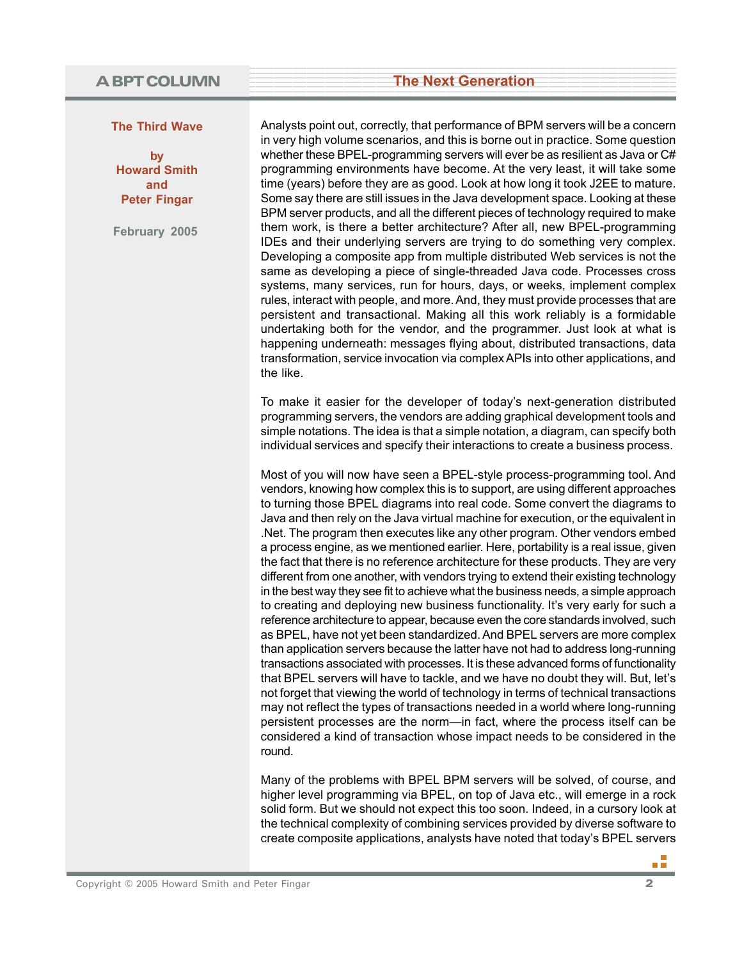#### **The Third Wave**

**by Howard Smith and Peter Fingar**

**February 2005**

Analysts point out, correctly, that performance of BPM servers will be a concern in very high volume scenarios, and this is borne out in practice. Some question whether these BPEL-programming servers will ever be as resilient as Java or C# programming environments have become. At the very least, it will take some time (years) before they are as good. Look at how long it took J2EE to mature. Some say there are still issues in the Java development space. Looking at these BPM server products, and all the different pieces of technology required to make them work, is there a better architecture? After all, new BPEL-programming IDEs and their underlying servers are trying to do something very complex. Developing a composite app from multiple distributed Web services is not the same as developing a piece of single-threaded Java code. Processes cross systems, many services, run for hours, days, or weeks, implement complex rules, interact with people, and more. And, they must provide processes that are persistent and transactional. Making all this work reliably is a formidable undertaking both for the vendor, and the programmer. Just look at what is happening underneath: messages flying about, distributed transactions, data transformation, service invocation via complex APIs into other applications, and the like.

To make it easier for the developer of today's next-generation distributed programming servers, the vendors are adding graphical development tools and simple notations. The idea is that a simple notation, a diagram, can specify both individual services and specify their interactions to create a business process.

Most of you will now have seen a BPEL-style process-programming tool. And vendors, knowing how complex this is to support, are using different approaches to turning those BPEL diagrams into real code. Some convert the diagrams to Java and then rely on the Java virtual machine for execution, or the equivalent in .Net. The program then executes like any other program. Other vendors embed a process engine, as we mentioned earlier. Here, portability is a real issue, given the fact that there is no reference architecture for these products. They are very different from one another, with vendors trying to extend their existing technology in the best way they see fit to achieve what the business needs, a simple approach to creating and deploying new business functionality. It's very early for such a reference architecture to appear, because even the core standards involved, such as BPEL, have not yet been standardized. And BPEL servers are more complex than application servers because the latter have not had to address long-running transactions associated with processes. It is these advanced forms of functionality that BPEL servers will have to tackle, and we have no doubt they will. But, let's not forget that viewing the world of technology in terms of technical transactions may not reflect the types of transactions needed in a world where long-running persistent processes are the norm—in fact, where the process itself can be considered a kind of transaction whose impact needs to be considered in the round.

Many of the problems with BPEL BPM servers will be solved, of course, and higher level programming via BPEL, on top of Java etc., will emerge in a rock solid form. But we should not expect this too soon. Indeed, in a cursory look at the technical complexity of combining services provided by diverse software to create composite applications, analysts have noted that today's BPEL servers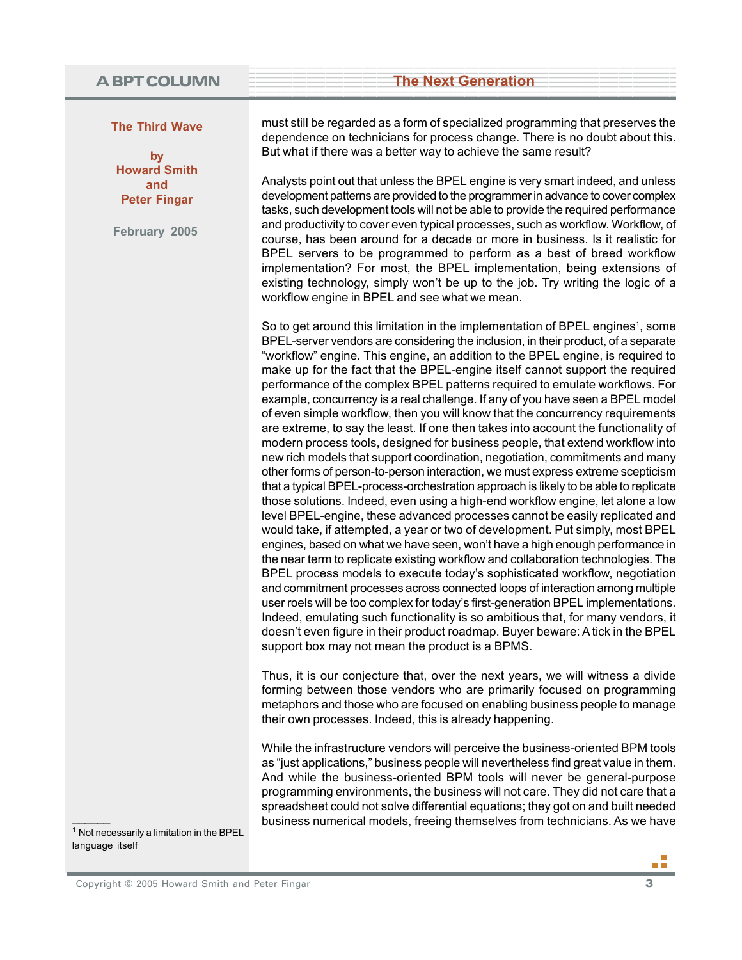#### **The Third Wave**

**by Howard Smith and Peter Fingar**

**February 2005**

must still be regarded as a form of specialized programming that preserves the dependence on technicians for process change. There is no doubt about this. But what if there was a better way to achieve the same result?

Analysts point out that unless the BPEL engine is very smart indeed, and unless development patterns are provided to the programmer in advance to cover complex tasks, such development tools will not be able to provide the required performance and productivity to cover even typical processes, such as workflow. Workflow, of course, has been around for a decade or more in business. Is it realistic for BPEL servers to be programmed to perform as a best of breed workflow implementation? For most, the BPEL implementation, being extensions of existing technology, simply won't be up to the job. Try writing the logic of a workflow engine in BPEL and see what we mean.

So to get around this limitation in the implementation of BPEL engines<sup>1</sup>, some BPEL-server vendors are considering the inclusion, in their product, of a separate "workflow" engine. This engine, an addition to the BPEL engine, is required to make up for the fact that the BPEL-engine itself cannot support the required performance of the complex BPEL patterns required to emulate workflows. For example, concurrency is a real challenge. If any of you have seen a BPEL model of even simple workflow, then you will know that the concurrency requirements are extreme, to say the least. If one then takes into account the functionality of modern process tools, designed for business people, that extend workflow into new rich models that support coordination, negotiation, commitments and many other forms of person-to-person interaction, we must express extreme scepticism that a typical BPEL-process-orchestration approach is likely to be able to replicate those solutions. Indeed, even using a high-end workflow engine, let alone a low level BPEL-engine, these advanced processes cannot be easily replicated and would take, if attempted, a year or two of development. Put simply, most BPEL engines, based on what we have seen, won't have a high enough performance in the near term to replicate existing workflow and collaboration technologies. The BPEL process models to execute today's sophisticated workflow, negotiation and commitment processes across connected loops of interaction among multiple user roels will be too complex for today's first-generation BPEL implementations. Indeed, emulating such functionality is so ambitious that, for many vendors, it doesn't even figure in their product roadmap. Buyer beware: A tick in the BPEL support box may not mean the product is a BPMS.

Thus, it is our conjecture that, over the next years, we will witness a divide forming between those vendors who are primarily focused on programming metaphors and those who are focused on enabling business people to manage their own processes. Indeed, this is already happening.

While the infrastructure vendors will perceive the business-oriented BPM tools as "just applications," business people will nevertheless find great value in them. And while the business-oriented BPM tools will never be general-purpose programming environments, the business will not care. They did not care that a spreadsheet could not solve differential equations; they got on and built needed<br>
<sup>1</sup> Not necessarily a limitation in the BPEL<br>
<sup>1</sup> Not necessarily a limitation in the BPEL

language itself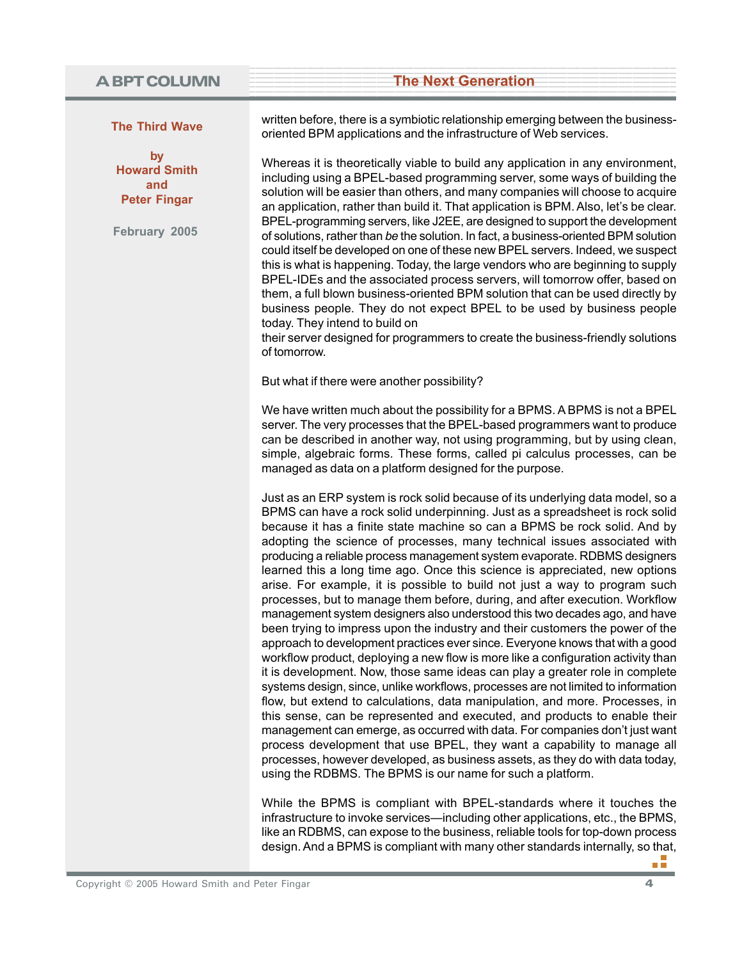#### **The Third Wave**

**by Howard Smith and Peter Fingar**

**February 2005**

written before, there is a symbiotic relationship emerging between the businessoriented BPM applications and the infrastructure of Web services.

Whereas it is theoretically viable to build any application in any environment, including using a BPEL-based programming server, some ways of building the solution will be easier than others, and many companies will choose to acquire an application, rather than build it. That application is BPM. Also, let's be clear. BPEL-programming servers, like J2EE, are designed to support the development of solutions, rather than *be* the solution. In fact, a business-oriented BPM solution could itself be developed on one of these new BPEL servers. Indeed, we suspect this is what is happening. Today, the large vendors who are beginning to supply BPEL-IDEs and the associated process servers, will tomorrow offer, based on them, a full blown business-oriented BPM solution that can be used directly by business people. They do not expect BPEL to be used by business people today. They intend to build on

their server designed for programmers to create the business-friendly solutions of tomorrow.

But what if there were another possibility?

We have written much about the possibility for a BPMS. A BPMS is not a BPEL server. The very processes that the BPEL-based programmers want to produce can be described in another way, not using programming, but by using clean, simple, algebraic forms. These forms, called pi calculus processes, can be managed as data on a platform designed for the purpose.

Just as an ERP system is rock solid because of its underlying data model, so a BPMS can have a rock solid underpinning. Just as a spreadsheet is rock solid because it has a finite state machine so can a BPMS be rock solid. And by adopting the science of processes, many technical issues associated with producing a reliable process management system evaporate. RDBMS designers learned this a long time ago. Once this science is appreciated, new options arise. For example, it is possible to build not just a way to program such processes, but to manage them before, during, and after execution. Workflow management system designers also understood this two decades ago, and have been trying to impress upon the industry and their customers the power of the approach to development practices ever since. Everyone knows that with a good workflow product, deploying a new flow is more like a configuration activity than it is development. Now, those same ideas can play a greater role in complete systems design, since, unlike workflows, processes are not limited to information flow, but extend to calculations, data manipulation, and more. Processes, in this sense, can be represented and executed, and products to enable their management can emerge, as occurred with data. For companies don't just want process development that use BPEL, they want a capability to manage all processes, however developed, as business assets, as they do with data today, using the RDBMS. The BPMS is our name for such a platform.

While the BPMS is compliant with BPEL-standards where it touches the infrastructure to invoke services—including other applications, etc., the BPMS, like an RDBMS, can expose to the business, reliable tools for top-down process design. And a BPMS is compliant with many other standards internally, so that,

пĦ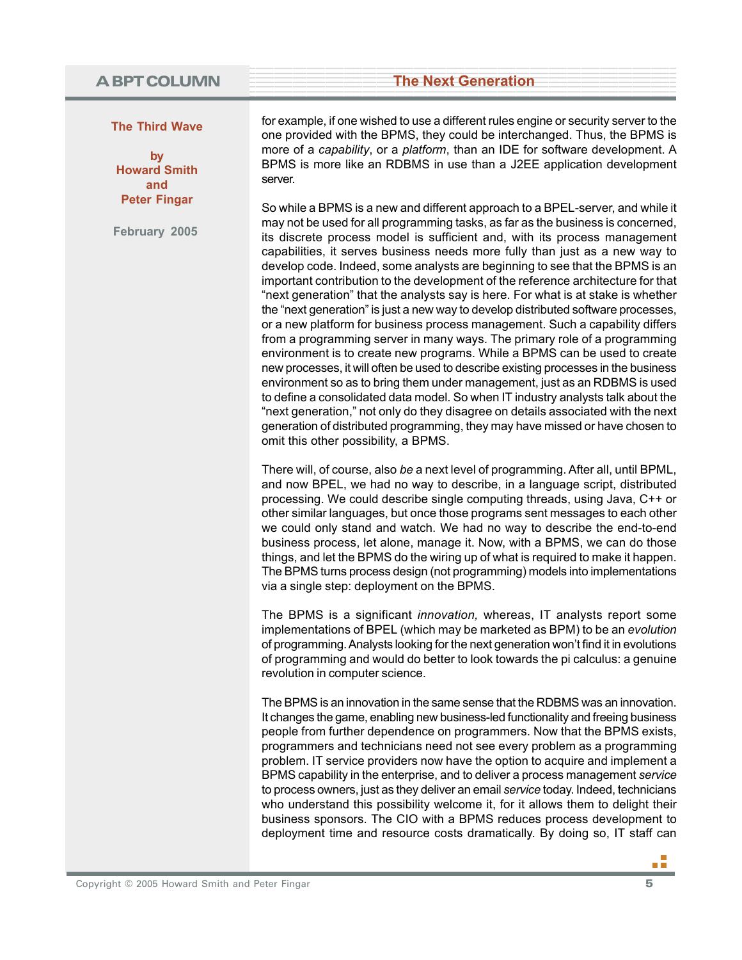#### **The Third Wave**

**by Howard Smith and Peter Fingar**

**February 2005**

for example, if one wished to use a different rules engine or security server to the one provided with the BPMS, they could be interchanged. Thus, the BPMS is more of a *capability*, or a *platform*, than an IDE for software development. A BPMS is more like an RDBMS in use than a J2EE application development server.

So while a BPMS is a new and different approach to a BPEL-server, and while it may not be used for all programming tasks, as far as the business is concerned, its discrete process model is sufficient and, with its process management capabilities, it serves business needs more fully than just as a new way to develop code. Indeed, some analysts are beginning to see that the BPMS is an important contribution to the development of the reference architecture for that "next generation" that the analysts say is here. For what is at stake is whether the "next generation" is just a new way to develop distributed software processes, or a new platform for business process management. Such a capability differs from a programming server in many ways. The primary role of a programming environment is to create new programs. While a BPMS can be used to create new processes, it will often be used to describe existing processes in the business environment so as to bring them under management, just as an RDBMS is used to define a consolidated data model. So when IT industry analysts talk about the "next generation," not only do they disagree on details associated with the next generation of distributed programming, they may have missed or have chosen to omit this other possibility, a BPMS.

There will, of course, also *be* a next level of programming. After all, until BPML, and now BPEL, we had no way to describe, in a language script, distributed processing. We could describe single computing threads, using Java, C++ or other similar languages, but once those programs sent messages to each other we could only stand and watch. We had no way to describe the end-to-end business process, let alone, manage it. Now, with a BPMS, we can do those things, and let the BPMS do the wiring up of what is required to make it happen. The BPMS turns process design (not programming) models into implementations via a single step: deployment on the BPMS.

The BPMS is a significant *innovation,* whereas, IT analysts report some implementations of BPEL (which may be marketed as BPM) to be an *evolution* of programming. Analysts looking for the next generation won't find it in evolutions of programming and would do better to look towards the pi calculus: a genuine revolution in computer science.

The BPMS is an innovation in the same sense that the RDBMS was an innovation. It changes the game, enabling new business-led functionality and freeing business people from further dependence on programmers. Now that the BPMS exists, programmers and technicians need not see every problem as a programming problem. IT service providers now have the option to acquire and implement a BPMS capability in the enterprise, and to deliver a process management *service* to process owners, just as they deliver an email *service* today. Indeed, technicians who understand this possibility welcome it, for it allows them to delight their business sponsors. The CIO with a BPMS reduces process development to deployment time and resource costs dramatically. By doing so, IT staff can